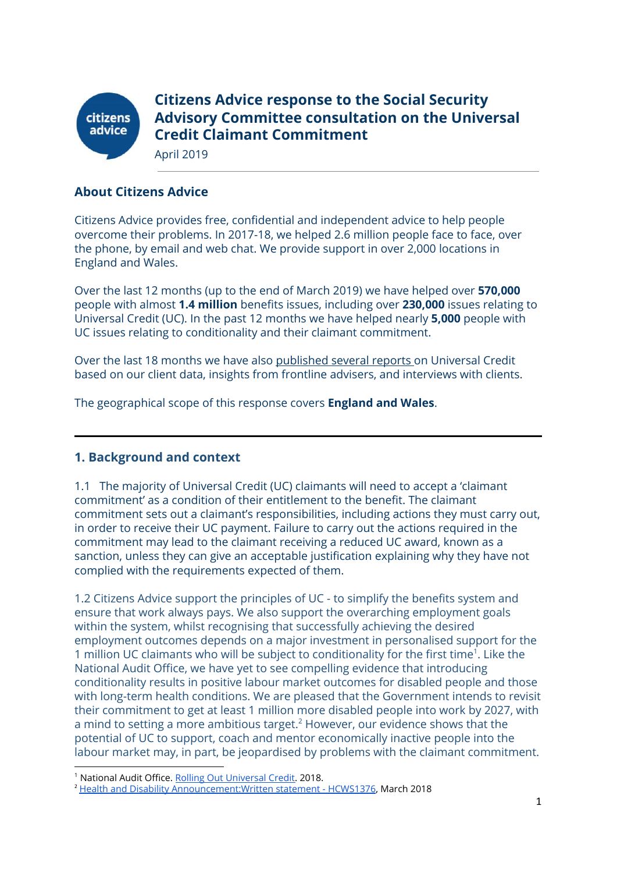

**Citizens Advice response to the Social Security Advisory Committee consultation on the Universal Credit Claimant Commitment**

April 2019

### **About Citizens Advice**

Citizens Advice provides free, confidential and independent advice to help people overcome their problems. In 2017-18, we helped 2.6 million people face to face, over the phone, by email and web chat. We provide support in over 2,000 locations in England and Wales.

Over the last 12 months (up to the end of March 2019) we have helped over **570,000** people with almost **1.4 million** benefits issues, including over **230,000** issues relating to Universal Credit (UC). In the past 12 months we have helped nearly **5,000** people with UC issues relating to conditionality and their claimant commitment.

Over the last 18 months we have also [published](https://www.citizensadvice.org.uk/about-us/policy/welfare-policy-research/) several reports on Universal Credit based on our client data, insights from frontline advisers, and interviews with clients.

The geographical scope of this response covers **England and Wales**.

### **1. Background and context**

1.1 The majority of Universal Credit (UC) claimants will need to accept a 'claimant commitment' as a condition of their entitlement to the benefit. The claimant commitment sets out a claimant's responsibilities, including actions they must carry out, in order to receive their UC payment. Failure to carry out the actions required in the commitment may lead to the claimant receiving a reduced UC award, known as a sanction, unless they can give an acceptable justification explaining why they have not complied with the requirements expected of them.

1.2 Citizens Advice support the principles of UC - to simplify the benefits system and ensure that work always pays. We also support the overarching employment goals within the system, whilst recognising that successfully achieving the desired employment outcomes depends on a major investment in personalised support for the 1 million UC claimants who will be subject to conditionality for the first time<sup>1</sup>. Like the National Audit Office, we have yet to see compelling evidence that introducing conditionality results in positive labour market outcomes for disabled people and those with long-term health conditions. We are pleased that the Government intends to revisit their commitment to get at least 1 million more disabled people into work by 2027, with a mind to setting a more ambitious target.<sup>2</sup> However, our evidence shows that the potential of UC to support, coach and mentor economically inactive people into the labour market may, in part, be jeopardised by problems with the claimant commitment.

<sup>&</sup>lt;sup>1</sup> National Audit Office. [Rolling Out Universal Credit](https://www.nao.org.uk/report/rolling-out-universal-credit/). 2018.

<sup>2</sup> [Health and Disability Announcement:Written statement - HCWS1376](https://www.parliament.uk/business/publications/written-questions-answers-statements/written-statement/Commons/2019-03-05/HCWS1376), March 2018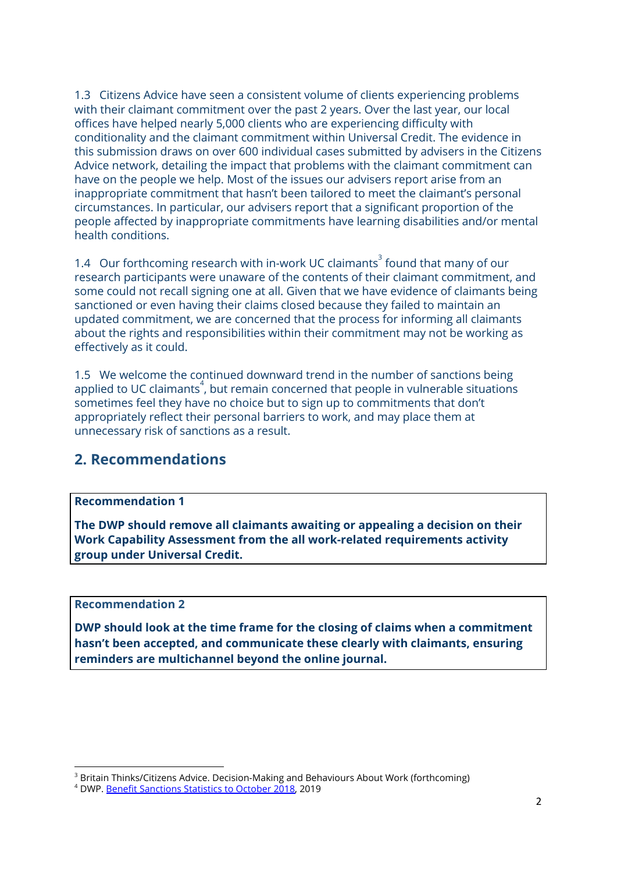1.3 Citizens Advice have seen a consistent volume of clients experiencing problems with their claimant commitment over the past 2 years. Over the last year, our local offices have helped nearly 5,000 clients who are experiencing difficulty with conditionality and the claimant commitment within Universal Credit. The evidence in this submission draws on over 600 individual cases submitted by advisers in the Citizens Advice network, detailing the impact that problems with the claimant commitment can have on the people we help. Most of the issues our advisers report arise from an inappropriate commitment that hasn't been tailored to meet the claimant's personal circumstances. In particular, our advisers report that a significant proportion of the people affected by inappropriate commitments have learning disabilities and/or mental health conditions.

1.4 Our forthcoming research with in-work UC claimants<sup>3</sup> found that many of our research participants were unaware of the contents of their claimant commitment, and some could not recall signing one at all. Given that we have evidence of claimants being sanctioned or even having their claims closed because they failed to maintain an updated commitment, we are concerned that the process for informing all claimants about the rights and responsibilities within their commitment may not be working as effectively as it could.

1.5 We welcome the continued downward trend in the number of sanctions being applied to UC claimants $^4$ , but remain concerned that people in vulnerable situations sometimes feel they have no choice but to sign up to commitments that don't appropriately reflect their personal barriers to work, and may place them at unnecessary risk of sanctions as a result.

# **2. Recommendations**

### **Recommendation 1**

**The DWP should remove all claimants awaiting or appealing a decision on their Work Capability Assessment from the all work-related requirements activity group under Universal Credit.**

### **Recommendation 2**

**DWP should look at the time frame for the closing of claims when a commitment hasn't been accepted, and communicate these clearly with claimants, ensuring reminders are multichannel beyond the online journal.**

<sup>&</sup>lt;sup>3</sup> Britain Thinks/Citizens Advice. Decision-Making and Behaviours About Work (forthcoming)

<sup>&</sup>lt;sup>4</sup> DWP. [Benefit Sanctions Statistics to October 2018](https://assets.publishing.service.gov.uk/government/uploads/system/uploads/attachment_data/file/779502/benefit-sanctions-statistics-to-october-2018.pdf), 2019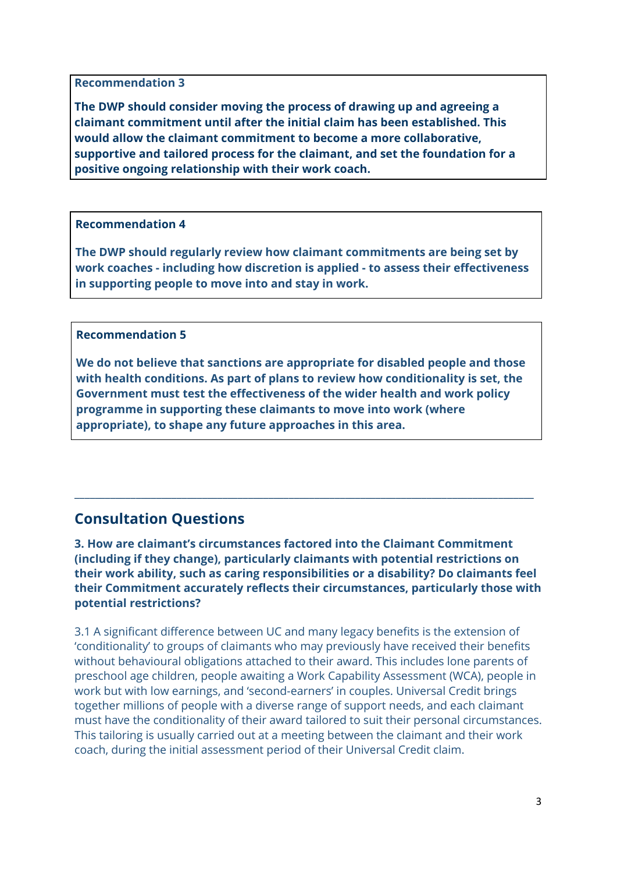**Recommendation 3**

**The DWP should consider moving the process of drawing up and agreeing a claimant commitment until after the initial claim has been established. This would allow the claimant commitment to become a more collaborative, supportive and tailored process for the claimant, and set the foundation for a positive ongoing relationship with their work coach.**

### **Recommendation 4**

**The DWP should regularly review how claimant commitments are being set by work coaches - including how discretion is applied - to assess their effectiveness in supporting people to move into and stay in work.**

### **Recommendation 5**

**We do not believe that sanctions are appropriate for disabled people and those with health conditions. As part of plans to review how conditionality is set, the Government must test the effectiveness of the wider health and work policy programme in supporting these claimants to move into work (where appropriate), to shape any future approaches in this area.**

# **Consultation Questions**

**3. How are claimant's circumstances factored into the Claimant Commitment (including if they change), particularly claimants with potential restrictions on their work ability, such as caring responsibilities or a disability? Do claimants feel their Commitment accurately reflects their circumstances, particularly those with potential restrictions?**

\_\_\_\_\_\_\_\_\_\_\_\_\_\_\_\_\_\_\_\_\_\_\_\_\_\_\_\_\_\_\_\_\_\_\_\_\_\_\_\_\_\_\_\_\_\_\_\_\_\_\_\_\_\_\_\_\_\_\_\_\_\_\_\_\_\_\_\_\_\_\_\_\_\_\_\_\_\_\_\_\_\_\_\_\_\_\_\_\_\_

3.1 A significant difference between UC and many legacy benefits is the extension of 'conditionality' to groups of claimants who may previously have received their benefits without behavioural obligations attached to their award. This includes lone parents of preschool age children, people awaiting a Work Capability Assessment (WCA), people in work but with low earnings, and 'second-earners' in couples. Universal Credit brings together millions of people with a diverse range of support needs, and each claimant must have the conditionality of their award tailored to suit their personal circumstances. This tailoring is usually carried out at a meeting between the claimant and their work coach, during the initial assessment period of their Universal Credit claim.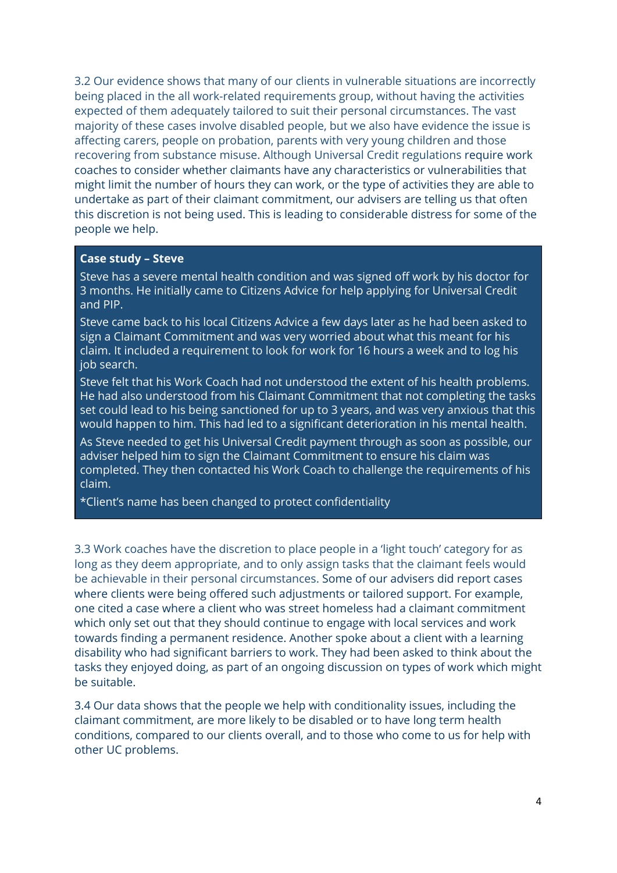3.2 Our evidence shows that many of our clients in vulnerable situations are incorrectly being placed in the all work-related requirements group, without having the activities expected of them adequately tailored to suit their personal circumstances. The vast majority of these cases involve disabled people, but we also have evidence the issue is affecting carers, people on probation, parents with very young children and those recovering from substance misuse. Although Universal Credit regulations require work coaches to consider whether claimants have any characteristics or vulnerabilities that might limit the number of hours they can work, or the type of activities they are able to undertake as part of their claimant commitment, our advisers are telling us that often this discretion is not being used. This is leading to considerable distress for some of the people we help.

#### **Case study – Steve**

Steve has a severe mental health condition and was signed off work by his doctor for 3 months. He initially came to Citizens Advice for help applying for Universal Credit and PIP.

Steve came back to his local Citizens Advice a few days later as he had been asked to sign a Claimant Commitment and was very worried about what this meant for his claim. It included a requirement to look for work for 16 hours a week and to log his job search.

Steve felt that his Work Coach had not understood the extent of his health problems. He had also understood from his Claimant Commitment that not completing the tasks set could lead to his being sanctioned for up to 3 years, and was very anxious that this would happen to him. This had led to a significant deterioration in his mental health.

As Steve needed to get his Universal Credit payment through as soon as possible, our adviser helped him to sign the Claimant Commitment to ensure his claim was completed. They then contacted his Work Coach to challenge the requirements of his claim.

\*Client's name has been changed to protect confidentiality

3.3 Work coaches have the discretion to place people in a 'light touch' category for as long as they deem appropriate, and to only assign tasks that the claimant feels would be achievable in their personal circumstances. Some of our advisers did report cases where clients were being offered such adjustments or tailored support. For example, one cited a case where a client who was street homeless had a claimant commitment which only set out that they should continue to engage with local services and work towards finding a permanent residence. Another spoke about a client with a learning disability who had significant barriers to work. They had been asked to think about the tasks they enjoyed doing, as part of an ongoing discussion on types of work which might be suitable.

3.4 Our data shows that the people we help with conditionality issues, including the claimant commitment, are more likely to be disabled or to have long term health conditions, compared to our clients overall, and to those who come to us for help with other UC problems.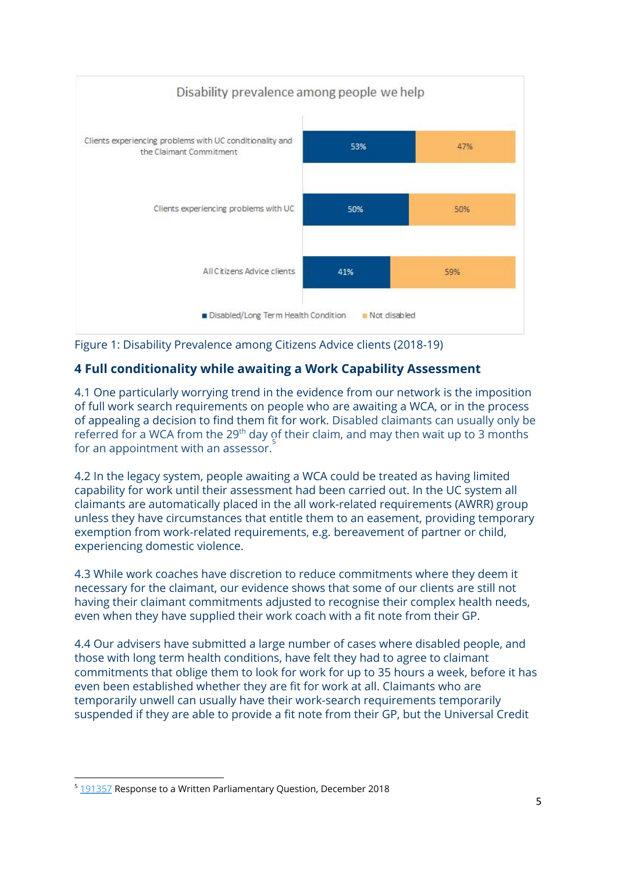

Figure 1: Disability Prevalence among Citizens Advice clients (2018-19)

# **4 Full conditionality while awaiting a Work Capability Assessment**

4.1 One particularly worrying trend in the evidence from our network is the imposition of full work search requirements on people who are awaiting a WCA, or in the process of appealing a decision to find them fit for work. Disabled claimants can usually only be referred for a WCA from the 29<sup>th</sup> day of their claim, and may then wait up to 3 months for an appointment with an assessor. $\overline{\phantom{a}}^5$ 

4.2 In the legacy system, people awaiting a WCA could be treated as having limited capability for work until their assessment had been carried out. In the UC system all claimants are automatically placed in the all work-related requirements (AWRR) group unless they have circumstances that entitle them to an easement, providing temporary exemption from work-related requirements, e.g. bereavement of partner or child, experiencing domestic violence.

4.3 While work coaches have discretion to reduce commitments where they deem it necessary for the claimant, our evidence shows that some of our clients are still not having their claimant commitments adjusted to recognise their complex health needs, even when they have supplied their work coach with a fit note from their GP.

4.4 Our advisers have submitted a large number of cases where disabled people, and those with long term health conditions, have felt they had to agree to claimant commitments that oblige them to look for work for up to 35 hours a week, before it has even been established whether they are fit for work at all. Claimants who are temporarily unwell can usually have their work-search requirements temporarily suspended if they are able to provide a fit note from their GP, but the Universal Credit

<sup>&</sup>lt;sup>5</sup> [191357](https://www.parliament.uk/business/publications/written-questions-answers-statements/written-question/Commons/2018-11-14/191357/) Response to a Written Parliamentary Question, December 2018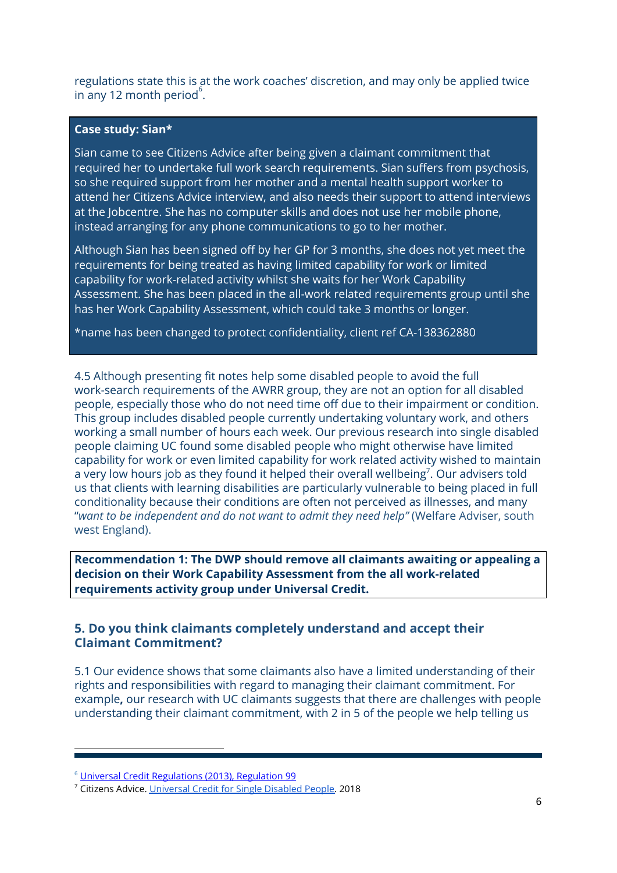regulations state this is at the work coaches' discretion, and may only be applied twice in any 12 month period $^6$ .

### **Case study: Sian\***

Sian came to see Citizens Advice after being given a claimant commitment that required her to undertake full work search requirements. Sian suffers from psychosis, so she required support from her mother and a mental health support worker to attend her Citizens Advice interview, and also needs their support to attend interviews at the Jobcentre. She has no computer skills and does not use her mobile phone, instead arranging for any phone communications to go to her mother.

Although Sian has been signed off by her GP for 3 months, she does not yet meet the requirements for being treated as having limited capability for work or limited capability for work-related activity whilst she waits for her Work Capability Assessment. She has been placed in the all-work related requirements group until she has her Work Capability Assessment, which could take 3 months or longer.

\*name has been changed to protect confidentiality, client ref CA-138362880

4.5 Although presenting fit notes help some disabled people to avoid the full work-search requirements of the AWRR group, they are not an option for all disabled people, especially those who do not need time off due to their impairment or condition. This group includes disabled people currently undertaking voluntary work, and others working a small number of hours each week. Our previous research into single disabled people claiming UC found some disabled people who might otherwise have limited capability for work or even limited capability for work related activity wished to maintain a very low hours job as they found it helped their overall wellbeing<sup>7</sup>. Our advisers told us that clients with learning disabilities are particularly vulnerable to being placed in full conditionality because their conditions are often not perceived as illnesses, and many "*want to be independent and do not want to admit they need help"* (Welfare Adviser, south west England).

**Recommendation 1: The DWP should remove all claimants awaiting or appealing a decision on their Work Capability Assessment from the all work-related requirements activity group under Universal Credit.**

## **5. Do you think claimants completely understand and accept their Claimant Commitment?**

5.1 Our evidence shows that some claimants also have a limited understanding of their rights and responsibilities with regard to managing their claimant commitment. For example**,** our research with UC claimants suggests that there are challenges with people understanding their claimant commitment, with 2 in 5 of the people we help telling us

<sup>&</sup>lt;sup>6</sup> [Universal Credit Regulations \(2013\), Regulation 99](http://www.legislation.gov.uk/uksi/2013/376/regulation/99)

<sup>&</sup>lt;sup>7</sup> Citizens Advice. [Universal Credit for Single Disabled People.](https://www.citizensadvice.org.uk/Global/CitizensAdvice/welfare%20publications/UC%20for%20single%20disabled%20people.pdf) 2018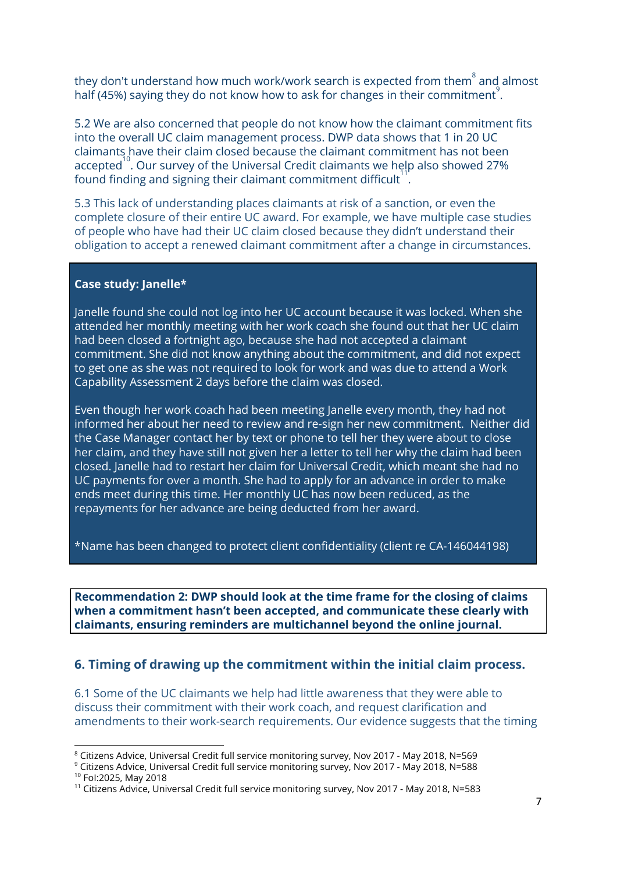they don't understand how much work/work search is expected from them $\degree$  and almost half (45%) saying they do not know how to ask for changes in their commitment $\mathring{\,}$ .

5.2 We are also concerned that people do not know how the claimant commitment fits into the overall UC claim management process. DWP data shows that 1 in 20 UC claimants have their claim closed because the claimant commitment has not been accepted $^{\rm 10}$ . Our survey of the Universal Credit claimants we help also showed 27% found finding and signing their claimant commitment difficult $^{\rm 11'}$ .

5.3 This lack of understanding places claimants at risk of a sanction, or even the complete closure of their entire UC award. For example, we have multiple case studies of people who have had their UC claim closed because they didn't understand their obligation to accept a renewed claimant commitment after a change in circumstances.

### **Case study: Janelle\***

Janelle found she could not log into her UC account because it was locked. When she attended her monthly meeting with her work coach she found out that her UC claim had been closed a fortnight ago, because she had not accepted a claimant commitment. She did not know anything about the commitment, and did not expect to get one as she was not required to look for work and was due to attend a Work Capability Assessment 2 days before the claim was closed.

Even though her work coach had been meeting Janelle every month, they had not informed her about her need to review and re-sign her new commitment. Neither did the Case Manager contact her by text or phone to tell her they were about to close her claim, and they have still not given her a letter to tell her why the claim had been closed. Janelle had to restart her claim for Universal Credit, which meant she had no UC payments for over a month. She had to apply for an advance in order to make ends meet during this time. Her monthly UC has now been reduced, as the repayments for her advance are being deducted from her award.

\*Name has been changed to protect client confidentiality (client re CA-146044198)

**Recommendation 2: DWP should look at the time frame for the closing of claims when a commitment hasn't been accepted, and communicate these clearly with claimants, ensuring reminders are multichannel beyond the online journal.**

### **6. Timing of drawing up the commitment within the initial claim process.**

6.1 Some of the UC claimants we help had little awareness that they were able to discuss their commitment with their work coach, and request clarification and amendments to their work-search requirements. Our evidence suggests that the timing

 $8$  Citizens Advice, Universal Credit full service monitoring survey, Nov 2017 - May 2018, N=569

 $^9$  Citizens Advice, Universal Credit full service monitoring survey, Nov 2017 - May 2018, N=588  $\,$ 

<sup>10</sup> FoI:2025, May 2018

<sup>11</sup> Citizens Advice, Universal Credit full service monitoring survey, Nov 2017 - May 2018, N=583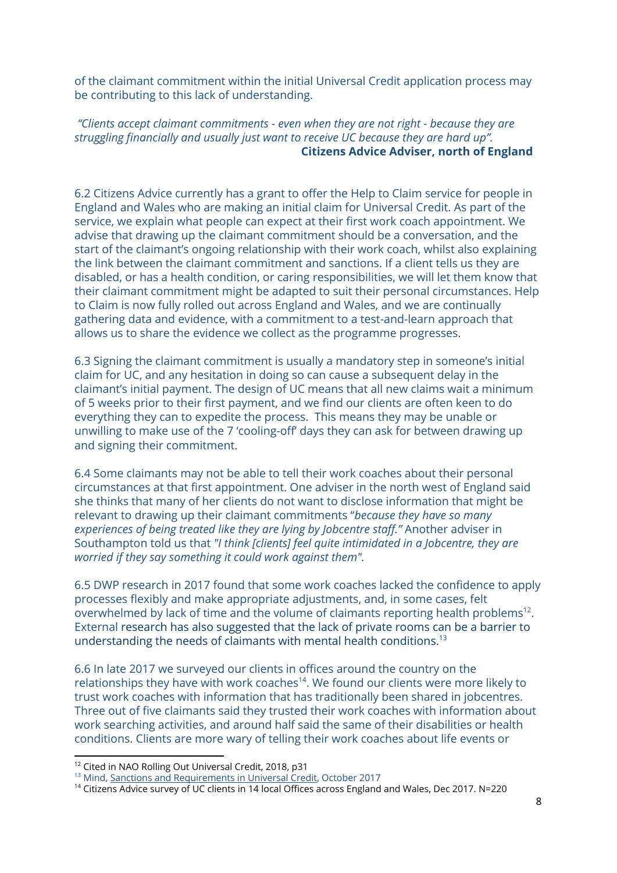of the claimant commitment within the initial Universal Credit application process may be contributing to this lack of understanding.

*"Clients accept claimant commitments - even when they are not right - because they are struggling financially and usually just want to receive UC because they are hard up".* **Citizens Advice Adviser, north of England**

6.2 Citizens Advice currently has a grant to offer the Help to Claim service for people in England and Wales who are making an initial claim for Universal Credit. As part of the service, we explain what people can expect at their first work coach appointment. We advise that drawing up the claimant commitment should be a conversation, and the start of the claimant's ongoing relationship with their work coach, whilst also explaining the link between the claimant commitment and sanctions. If a client tells us they are disabled, or has a health condition, or caring responsibilities, we will let them know that their claimant commitment might be adapted to suit their personal circumstances. Help to Claim is now fully rolled out across England and Wales, and we are continually gathering data and evidence, with a commitment to a test-and-learn approach that allows us to share the evidence we collect as the programme progresses.

6.3 Signing the claimant commitment is usually a mandatory step in someone's initial claim for UC, and any hesitation in doing so can cause a subsequent delay in the claimant's initial payment. The design of UC means that all new claims wait a minimum of 5 weeks prior to their first payment, and we find our clients are often keen to do everything they can to expedite the process. This means they may be unable or unwilling to make use of the 7 'cooling-off' days they can ask for between drawing up and signing their commitment.

6.4 Some claimants may not be able to tell their work coaches about their personal circumstances at that first appointment. One adviser in the north west of England said she thinks that many of her clients do not want to disclose information that might be relevant to drawing up their claimant commitments "*because they have so many experiences of being treated like they are lying by Jobcentre staff."* Another adviser in Southampton told us that *"I think [clients] feel quite intimidated in a Jobcentre, they are worried if they say something it could work against them".*

6.5 DWP research in 2017 found that some work coaches lacked the confidence to apply processes flexibly and make appropriate adjustments, and, in some cases, felt overwhelmed by lack of time and the volume of claimants reporting health problems<sup>12</sup>. External research has also suggested that the lack of private rooms can be a barrier to understanding the needs of claimants with mental health conditions. $^{13}$ 

6.6 In late 2017 we surveyed our clients in offices around the country on the relationships they have with work coaches<sup>14</sup>. We found our clients were more likely to trust work coaches with information that has traditionally been shared in jobcentres. Three out of five claimants said they trusted their work coaches with information about work searching activities, and around half said the same of their disabilities or health conditions. Clients are more wary of telling their work coaches about life events or

<sup>&</sup>lt;sup>12</sup> Cited in NAO Rolling Out Universal Credit, 2018, p31

<sup>&</sup>lt;sup>13</sup> Mind, [Sanctions and Requirements in Universal Credit](https://www.mind.org.uk/media/23359303/mind-briefing-mental-health-and-sanctions-in-universal-credit.pdf), October 2017

<sup>14</sup> Citizens Advice survey of UC clients in 14 local Offices across England and Wales, Dec 2017. N=220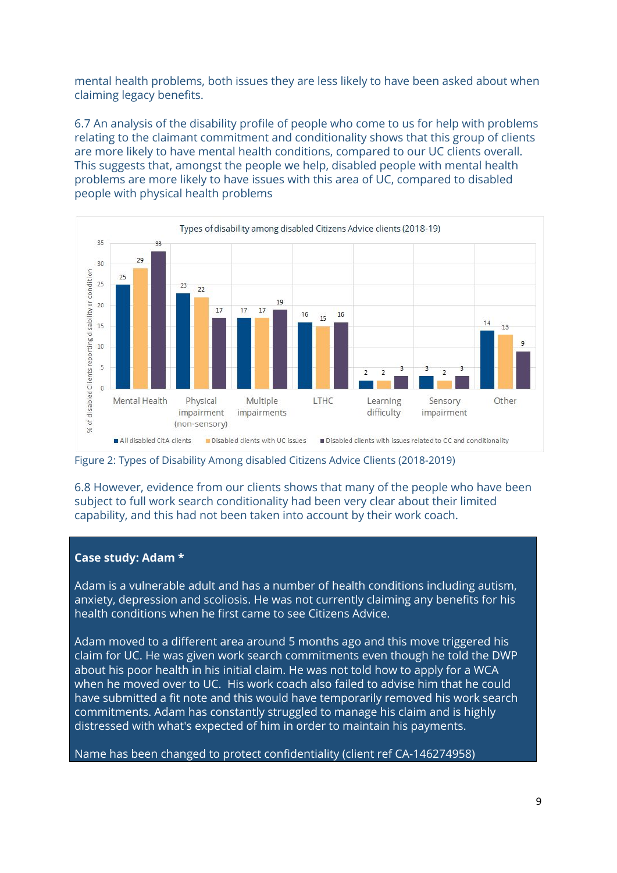mental health problems, both issues they are less likely to have been asked about when claiming legacy benefits.

6.7 An analysis of the disability profile of people who come to us for help with problems relating to the claimant commitment and conditionality shows that this group of clients are more likely to have mental health conditions, compared to our UC clients overall. This suggests that, amongst the people we help, disabled people with mental health problems are more likely to have issues with this area of UC, compared to disabled people with physical health problems



Figure 2: Types of Disability Among disabled Citizens Advice Clients (2018-2019)

6.8 However, evidence from our clients shows that many of the people who have been subject to full work search conditionality had been very clear about their limited capability, and this had not been taken into account by their work coach.

### **Case study: Adam \***

Adam is a vulnerable adult and has a number of health conditions including autism, anxiety, depression and scoliosis. He was not currently claiming any benefits for his health conditions when he first came to see Citizens Advice.

Adam moved to a different area around 5 months ago and this move triggered his claim for UC. He was given work search commitments even though he told the DWP about his poor health in his initial claim. He was not told how to apply for a WCA when he moved over to UC. His work coach also failed to advise him that he could have submitted a fit note and this would have temporarily removed his work search commitments. Adam has constantly struggled to manage his claim and is highly distressed with what's expected of him in order to maintain his payments.

Name has been changed to protect confidentiality (client ref CA-146274958)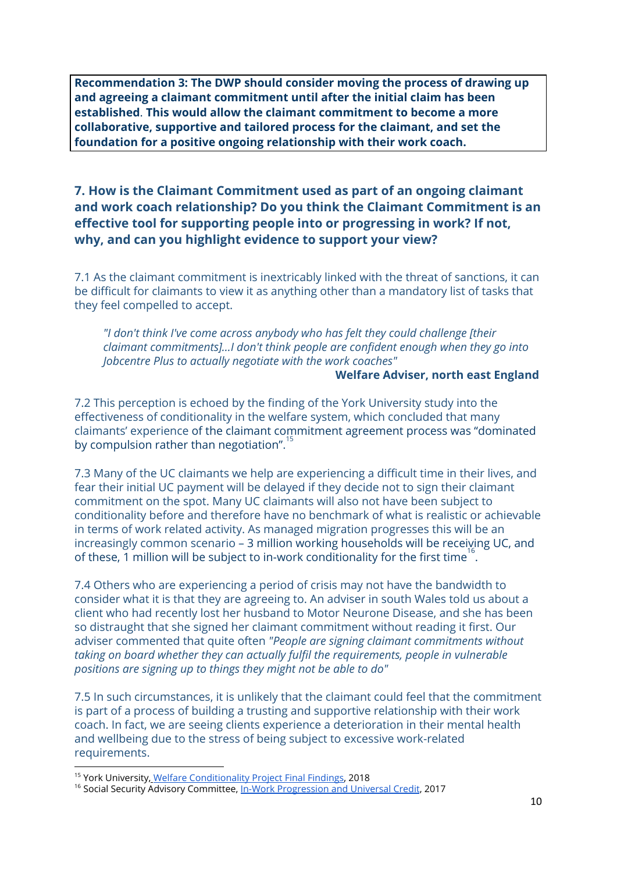**Recommendation 3: The DWP should consider moving the process of drawing up and agreeing a claimant commitment until after the initial claim has been established**. **This would allow the claimant commitment to become a more collaborative, supportive and tailored process for the claimant, and set the foundation for a positive ongoing relationship with their work coach.**

## **7. How is the Claimant Commitment used as part of an ongoing claimant and work coach relationship? Do you think the Claimant Commitment is an effective tool for supporting people into or progressing in work? If not, why, and can you highlight evidence to support your view?**

7.1 As the claimant commitment is inextricably linked with the threat of sanctions, it can be difficult for claimants to view it as anything other than a mandatory list of tasks that they feel compelled to accept.

*"I don't think I've come across anybody who has felt they could challenge [their claimant commitments]...I don't think people are confident enough when they go into Jobcentre Plus to actually negotiate with the work coaches"*

#### **Welfare Adviser, north east England**

7.2 This perception is echoed by the finding of the York University study into the effectiveness of conditionality in the welfare system, which concluded that many claimants' experience of the claimant commitment agreement process was "dominated by compulsion rather than negotiation".  $^{15}$ 

7.3 Many of the UC claimants we help are experiencing a difficult time in their lives, and fear their initial UC payment will be delayed if they decide not to sign their claimant commitment on the spot. Many UC claimants will also not have been subject to conditionality before and therefore have no benchmark of what is realistic or achievable in terms of work related activity. As managed migration progresses this will be an increasingly common scenario – 3 million working households will be receiving UC, and of these, 1 million will be subject to in-work conditionality for the first time<sup>16</sup>.

7.4 Others who are experiencing a period of crisis may not have the bandwidth to consider what it is that they are agreeing to. An adviser in south Wales told us about a client who had recently lost her husband to Motor Neurone Disease, and she has been so distraught that she signed her claimant commitment without reading it first. Our adviser commented that quite often *"People are signing claimant commitments without taking on board whether they can actually fulfil the requirements, people in vulnerable positions are signing up to things they might not be able to do"*

7.5 In such circumstances, it is unlikely that the claimant could feel that the commitment is part of a process of building a trusting and supportive relationship with their work coach. In fact, we are seeing clients experience a deterioration in their mental health and wellbeing due to the stress of being subject to excessive work-related requirements.

<sup>&</sup>lt;sup>15</sup> York University, [Welfare Conditionality Project Final Findings,](http://www.welfareconditionality.ac.uk/wp-content/uploads/2018/06/40475_Welfare-Conditionality_Report_complete-v3.pdf) 2018

<sup>&</sup>lt;sup>16</sup> Social Security Advisory Committee, <u>[In-Work Progression and Universal Credit](https://assets.publishing.service.gov.uk/government/uploads/system/uploads/attachment_data/file/657842/ssac-occasional-paper-19-in-work-progression-and-universal-credit.pdf)</u>, 2017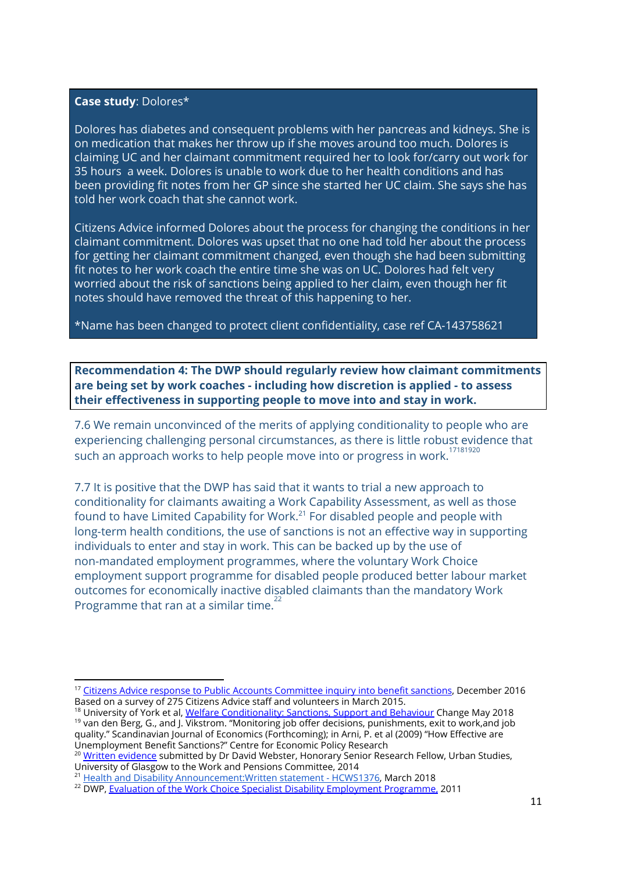#### **Case study**: Dolores\*

Dolores has diabetes and consequent problems with her pancreas and kidneys. She is on medication that makes her throw up if she moves around too much. Dolores is claiming UC and her claimant commitment required her to look for/carry out work for 35 hours a week. Dolores is unable to work due to her health conditions and has been providing fit notes from her GP since she started her UC claim. She says she has told her work coach that she cannot work.

Citizens Advice informed Dolores about the process for changing the conditions in her claimant commitment. Dolores was upset that no one had told her about the process for getting her claimant commitment changed, even though she had been submitting fit notes to her work coach the entire time she was on UC. Dolores had felt very worried about the risk of sanctions being applied to her claim, even though her fit notes should have removed the threat of this happening to her.

\*Name has been changed to protect client confidentiality, case ref CA-143758621

**Recommendation 4: The DWP should regularly review how claimant commitments are being set by work coaches - including how discretion is applied - to assess their effectiveness in supporting people to move into and stay in work.**

7.6 We remain unconvinced of the merits of applying conditionality to people who are experiencing challenging personal circumstances, as there is little robust evidence that such an approach works to help people move into or progress in work.  $^{17181920}$ 

7.7 It is positive that the DWP has said that it wants to trial a new approach to conditionality for claimants awaiting a Work Capability Assessment, as well as those found to have Limited Capability for Work. $^{21}$  For disabled people and people with long-term health conditions, the use of sanctions is not an effective way in supporting individuals to enter and stay in work. This can be backed up by the use of non-mandated employment programmes, where the voluntary Work Choice employment support programme for disabled people produced better labour market outcomes for economically inactive disabled claimants than the mandatory Work Programme that ran at a similar time.<sup>22</sup>

<sup>&</sup>lt;sup>17</sup> [Citizens Advice response to Public Accounts Committee inquiry into benefit sanctions,](https://www.citizensadvice.org.uk/Global/CitizensAdvice/welfare%20publications/Sanctionsinquiryresponsedraft.pdf) December 2016 Based on a survey of 275 Citizens Advice staff and volunteers in March 2015.

<sup>&</sup>lt;sup>18</sup> University of York et al, <u>Welfare Conditionality: Sanctions, Support and Behaviour</u> Change May 2018 <sup>19</sup> van den Berg, G., and J. Vikstrom. "Monitoring job offer decisions, punishments, exit to work,and job quality." Scandinavian Journal of Economics (Forthcoming); in Arni, P. et al (2009) "How Effective are Unemployment Benefit Sanctions?" Centre for Economic Policy Research

<sup>&</sup>lt;sup>20</sup> <u>Written evidence</u> submitted by Dr David Webster, Honorary Senior Research Fellow, Urban Studies, University of Glasgow to the Work and Pensions Committee, 2014

<sup>&</sup>lt;sup>21</sup> [Health and Disability Announcement:Written statement - HCWS1376,](https://www.parliament.uk/business/publications/written-questions-answers-statements/written-statement/Commons/2019-03-05/HCWS1376) March 2018

<sup>&</sup>lt;sup>22</sup> DWP, <u>Evaluation of the Work Choice Specialist Disability Employment Programme,</u> 2011